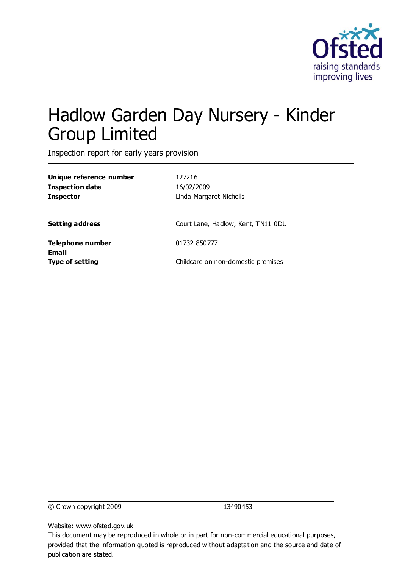

# Hadlow Garden Day Nursery - Kinder Group Limited

Inspection report for early years provision

| Unique reference number<br>Inspection date<br>Inspector | 127216<br>16/02/2009<br>Linda Margaret Nicholls |
|---------------------------------------------------------|-------------------------------------------------|
| Setting address                                         | Court Lane, Hadlow, Kent, TN11 0DU              |
| Telephone number                                        | 01732 850777                                    |
| Email<br>Type of setting                                | Childcare on non-domestic premises              |
|                                                         |                                                 |

© Crown copyright 2009 13490453

Website: www.ofsted.gov.uk

This document may be reproduced in whole or in part for non-commercial educational purposes, provided that the information quoted is reproduced without adaptation and the source and date of publication are stated.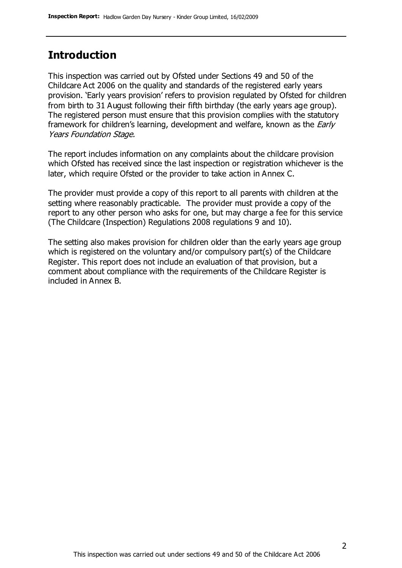### **Introduction**

This inspection was carried out by Ofsted under Sections 49 and 50 of the Childcare Act 2006 on the quality and standards of the registered early years provision. 'Early years provision' refers to provision regulated by Ofsted for children from birth to 31 August following their fifth birthday (the early years age group). The registered person must ensure that this provision complies with the statutory framework for children's learning, development and welfare, known as the *Early* Years Foundation Stage.

The report includes information on any complaints about the childcare provision which Ofsted has received since the last inspection or registration whichever is the later, which require Ofsted or the provider to take action in Annex C.

The provider must provide a copy of this report to all parents with children at the setting where reasonably practicable. The provider must provide a copy of the report to any other person who asks for one, but may charge a fee for this service (The Childcare (Inspection) Regulations 2008 regulations 9 and 10).

The setting also makes provision for children older than the early years age group which is registered on the voluntary and/or compulsory part(s) of the Childcare Register. This report does not include an evaluation of that provision, but a comment about compliance with the requirements of the Childcare Register is included in Annex B.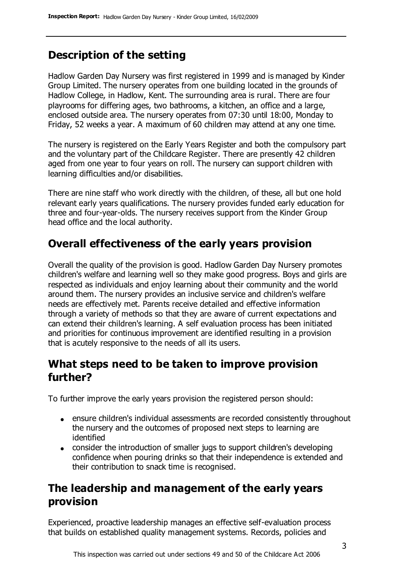## **Description of the setting**

Hadlow Garden Day Nursery was first registered in 1999 and is managed by Kinder Group Limited. The nursery operates from one building located in the grounds of Hadlow College, in Hadlow, Kent. The surrounding area is rural. There are four playrooms for differing ages, two bathrooms, a kitchen, an office and a large, enclosed outside area. The nursery operates from 07:30 until 18:00, Monday to Friday, 52 weeks a year. A maximum of 60 children may attend at any one time.

The nursery is registered on the Early Years Register and both the compulsory part and the voluntary part of the Childcare Register. There are presently 42 children aged from one year to four years on roll. The nursery can support children with learning difficulties and/or disabilities.

There are nine staff who work directly with the children, of these, all but one hold relevant early years qualifications. The nursery provides funded early education for three and four-year-olds. The nursery receives support from the Kinder Group head office and the local authority.

### **Overall effectiveness of the early years provision**

Overall the quality of the provision is good. Hadlow Garden Day Nursery promotes children's welfare and learning well so they make good progress. Boys and girls are respected as individuals and enjoy learning about their community and the world around them. The nursery provides an inclusive service and children's welfare needs are effectively met. Parents receive detailed and effective information through a variety of methods so that they are aware of current expectations and can extend their children's learning. A self evaluation process has been initiated and priorities for continuous improvement are identified resulting in a provision that is acutely responsive to the needs of all its users.

### **What steps need to be taken to improve provision further?**

To further improve the early years provision the registered person should:

- ensure children's individual assessments are recorded consistently throughout the nursery and the outcomes of proposed next steps to learning are identified
- consider the introduction of smaller jugs to support children's developing confidence when pouring drinks so that their independence is extended and their contribution to snack time is recognised.

### **The leadership and management of the early years provision**

Experienced, proactive leadership manages an effective self-evaluation process that builds on established quality management systems. Records, policies and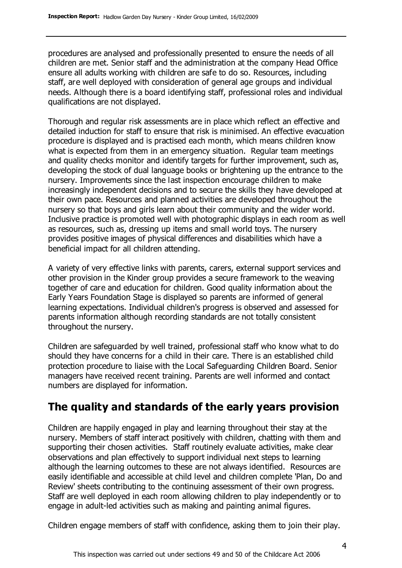procedures are analysed and professionally presented to ensure the needs of all children are met. Senior staff and the administration at the company Head Office ensure all adults working with children are safe to do so. Resources, including staff, are well deployed with consideration of general age groups and individual needs. Although there is a board identifying staff, professional roles and individual qualifications are not displayed.

Thorough and regular risk assessments are in place which reflect an effective and detailed induction for staff to ensure that risk is minimised. An effective evacuation procedure is displayed and is practised each month, which means children know what is expected from them in an emergency situation. Regular team meetings and quality checks monitor and identify targets for further improvement, such as, developing the stock of dual language books or brightening up the entrance to the nursery. Improvements since the last inspection encourage children to make increasingly independent decisions and to secure the skills they have developed at their own pace. Resources and planned activities are developed throughout the nursery so that boys and girls learn about their community and the wider world. Inclusive practice is promoted well with photographic displays in each room as well as resources, such as, dressing up items and small world toys. The nursery provides positive images of physical differences and disabilities which have a beneficial impact for all children attending.

A variety of very effective links with parents, carers, external support services and other provision in the Kinder group provides a secure framework to the weaving together of care and education for children. Good quality information about the Early Years Foundation Stage is displayed so parents are informed of general learning expectations. Individual children's progress is observed and assessed for parents information although recording standards are not totally consistent throughout the nursery.

Children are safeguarded by well trained, professional staff who know what to do should they have concerns for a child in their care. There is an established child protection procedure to liaise with the Local Safeguarding Children Board. Senior managers have received recent training. Parents are well informed and contact numbers are displayed for information.

### **The quality and standards of the early years provision**

Children are happily engaged in play and learning throughout their stay at the nursery. Members of staff interact positively with children, chatting with them and supporting their chosen activities. Staff routinely evaluate activities, make clear observations and plan effectively to support individual next steps to learning although the learning outcomes to these are not always identified. Resources are easily identifiable and accessible at child level and children complete 'Plan, Do and Review' sheets contributing to the continuing assessment of their own progress. Staff are well deployed in each room allowing children to play independently or to engage in adult-led activities such as making and painting animal figures.

Children engage members of staff with confidence, asking them to join their play.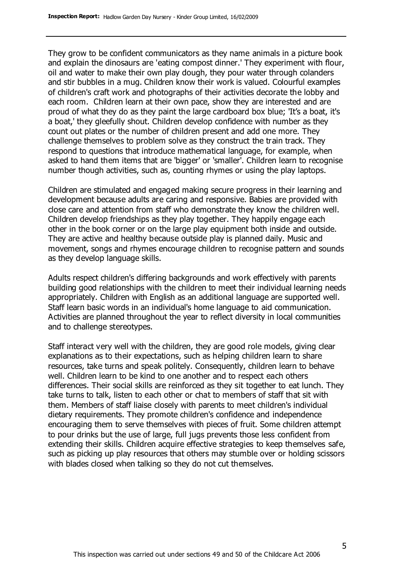They grow to be confident communicators as they name animals in a picture book and explain the dinosaurs are 'eating compost dinner.' They experiment with flour, oil and water to make their own play dough, they pour water through colanders and stir bubbles in a mug. Children know their work is valued. Colourful examples of children's craft work and photographs of their activities decorate the lobby and each room. Children learn at their own pace, show they are interested and are proud of what they do as they paint the large cardboard box blue; 'It's a boat, it's a boat,' they gleefully shout. Children develop confidence with number as they count out plates or the number of children present and add one more. They challenge themselves to problem solve as they construct the train track. They respond to questions that introduce mathematical language, for example, when asked to hand them items that are 'bigger' or 'smaller'. Children learn to recognise number though activities, such as, counting rhymes or using the play laptops.

Children are stimulated and engaged making secure progress in their learning and development because adults are caring and responsive. Babies are provided with close care and attention from staff who demonstrate they know the children well. Children develop friendships as they play together. They happily engage each other in the book corner or on the large play equipment both inside and outside. They are active and healthy because outside play is planned daily. Music and movement, songs and rhymes encourage children to recognise pattern and sounds as they develop language skills.

Adults respect children's differing backgrounds and work effectively with parents building good relationships with the children to meet their individual learning needs appropriately. Children with English as an additional language are supported well. Staff learn basic words in an individual's home language to aid communication. Activities are planned throughout the year to reflect diversity in local communities and to challenge stereotypes.

Staff interact very well with the children, they are good role models, giving clear explanations as to their expectations, such as helping children learn to share resources, take turns and speak politely. Consequently, children learn to behave well. Children learn to be kind to one another and to respect each others differences. Their social skills are reinforced as they sit together to eat lunch. They take turns to talk, listen to each other or chat to members of staff that sit with them. Members of staff liaise closely with parents to meet children's individual dietary requirements. They promote children's confidence and independence encouraging them to serve themselves with pieces of fruit. Some children attempt to pour drinks but the use of large, full jugs prevents those less confident from extending their skills. Children acquire effective strategies to keep themselves safe, such as picking up play resources that others may stumble over or holding scissors with blades closed when talking so they do not cut themselves.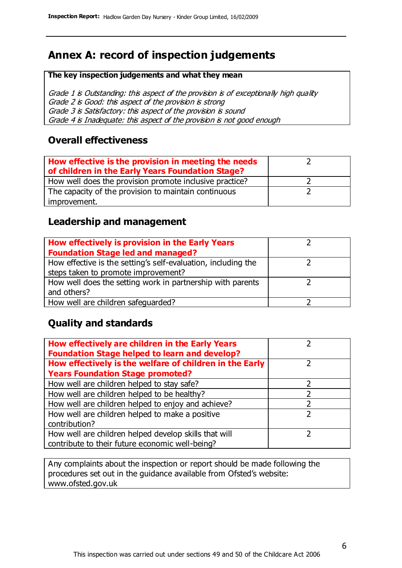# **Annex A: record of inspection judgements**

#### **The key inspection judgements and what they mean**

Grade 1 is Outstanding: this aspect of the provision is of exceptionally high quality Grade 2 is Good: this aspect of the provision is strong Grade 3 is Satisfactory: this aspect of the provision is sound Grade 4 is Inadequate: this aspect of the provision is not good enough

### **Overall effectiveness**

| How effective is the provision in meeting the needs<br>of children in the Early Years Foundation Stage? |  |
|---------------------------------------------------------------------------------------------------------|--|
| How well does the provision promote inclusive practice?                                                 |  |
| The capacity of the provision to maintain continuous                                                    |  |
| improvement.                                                                                            |  |

### **Leadership and management**

| How effectively is provision in the Early Years               |  |
|---------------------------------------------------------------|--|
| <b>Foundation Stage led and managed?</b>                      |  |
| How effective is the setting's self-evaluation, including the |  |
| steps taken to promote improvement?                           |  |
| How well does the setting work in partnership with parents    |  |
| and others?                                                   |  |
| How well are children safequarded?                            |  |

### **Quality and standards**

| How effectively are children in the Early Years<br><b>Foundation Stage helped to learn and develop?</b> |   |
|---------------------------------------------------------------------------------------------------------|---|
| How effectively is the welfare of children in the Early                                                 |   |
| <b>Years Foundation Stage promoted?</b>                                                                 |   |
| How well are children helped to stay safe?                                                              |   |
| How well are children helped to be healthy?                                                             |   |
| How well are children helped to enjoy and achieve?                                                      | 2 |
| How well are children helped to make a positive                                                         | っ |
| contribution?                                                                                           |   |
| How well are children helped develop skills that will                                                   |   |
| contribute to their future economic well-being?                                                         |   |

Any complaints about the inspection or report should be made following the procedures set out in the guidance available from Ofsted's website: www.ofsted.gov.uk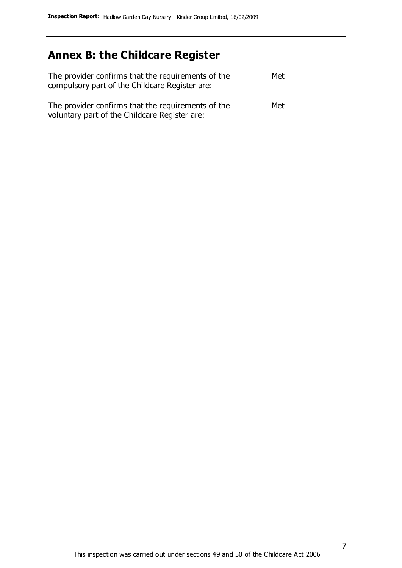# **Annex B: the Childcare Register**

| The provider confirms that the requirements of the<br>compulsory part of the Childcare Register are: | Met |
|------------------------------------------------------------------------------------------------------|-----|
| The provider confirms that the requirements of the<br>voluntary part of the Childcare Register are:  | Met |